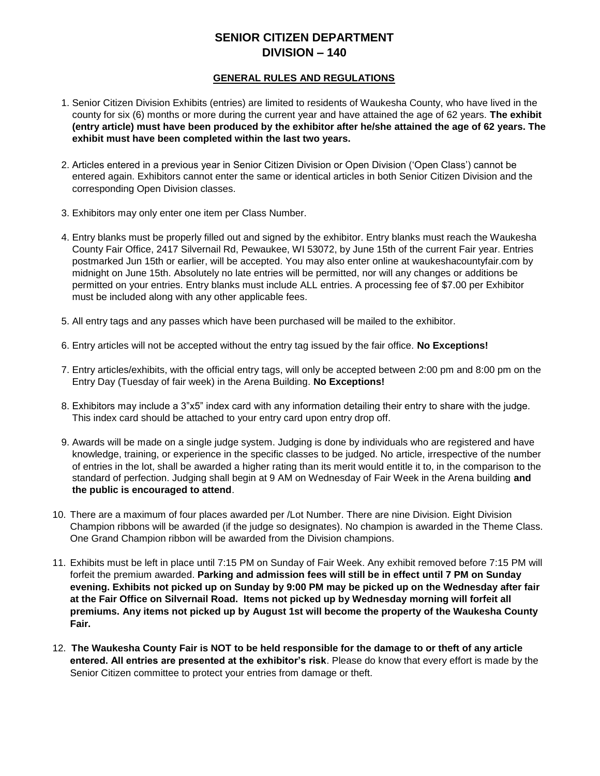# **SENIOR CITIZEN DEPARTMENT DIVISION – 140**

#### **GENERAL RULES AND REGULATIONS**

- 1. Senior Citizen Division Exhibits (entries) are limited to residents of Waukesha County, who have lived in the county for six (6) months or more during the current year and have attained the age of 62 years. **The exhibit (entry article) must have been produced by the exhibitor after he/she attained the age of 62 years. The exhibit must have been completed within the last two years.**
- 2. Articles entered in a previous year in Senior Citizen Division or Open Division ('Open Class') cannot be entered again. Exhibitors cannot enter the same or identical articles in both Senior Citizen Division and the corresponding Open Division classes.
- 3. Exhibitors may only enter one item per Class Number.
- 4. Entry blanks must be properly filled out and signed by the exhibitor. Entry blanks must reach the Waukesha County Fair Office, 2417 Silvernail Rd, Pewaukee, WI 53072, by June 15th of the current Fair year. Entries postmarked Jun 15th or earlier, will be accepted. You may also enter online at waukeshacountyfair.com by midnight on June 15th. Absolutely no late entries will be permitted, nor will any changes or additions be permitted on your entries. Entry blanks must include ALL entries. A processing fee of \$7.00 per Exhibitor must be included along with any other applicable fees.
- 5. All entry tags and any passes which have been purchased will be mailed to the exhibitor.
- 6. Entry articles will not be accepted without the entry tag issued by the fair office. **No Exceptions!**
- 7. Entry articles/exhibits, with the official entry tags, will only be accepted between 2:00 pm and 8:00 pm on the Entry Day (Tuesday of fair week) in the Arena Building. **No Exceptions!**
- 8. Exhibitors may include a 3"x5" index card with any information detailing their entry to share with the judge. This index card should be attached to your entry card upon entry drop off.
- 9. Awards will be made on a single judge system. Judging is done by individuals who are registered and have knowledge, training, or experience in the specific classes to be judged. No article, irrespective of the number of entries in the lot, shall be awarded a higher rating than its merit would entitle it to, in the comparison to the standard of perfection. Judging shall begin at 9 AM on Wednesday of Fair Week in the Arena building **and the public is encouraged to attend**.
- 10. There are a maximum of four places awarded per /Lot Number. There are nine Division. Eight Division Champion ribbons will be awarded (if the judge so designates). No champion is awarded in the Theme Class. One Grand Champion ribbon will be awarded from the Division champions.
- 11. Exhibits must be left in place until 7:15 PM on Sunday of Fair Week. Any exhibit removed before 7:15 PM will forfeit the premium awarded. **Parking and admission fees will still be in effect until 7 PM on Sunday evening. Exhibits not picked up on Sunday by 9:00 PM may be picked up on the Wednesday after fair at the Fair Office on Silvernail Road. Items not picked up by Wednesday morning will forfeit all premiums. Any items not picked up by August 1st will become the property of the Waukesha County Fair.**
- 12. **The Waukesha County Fair is NOT to be held responsible for the damage to or theft of any article entered. All entries are presented at the exhibitor's risk**. Please do know that every effort is made by the Senior Citizen committee to protect your entries from damage or theft.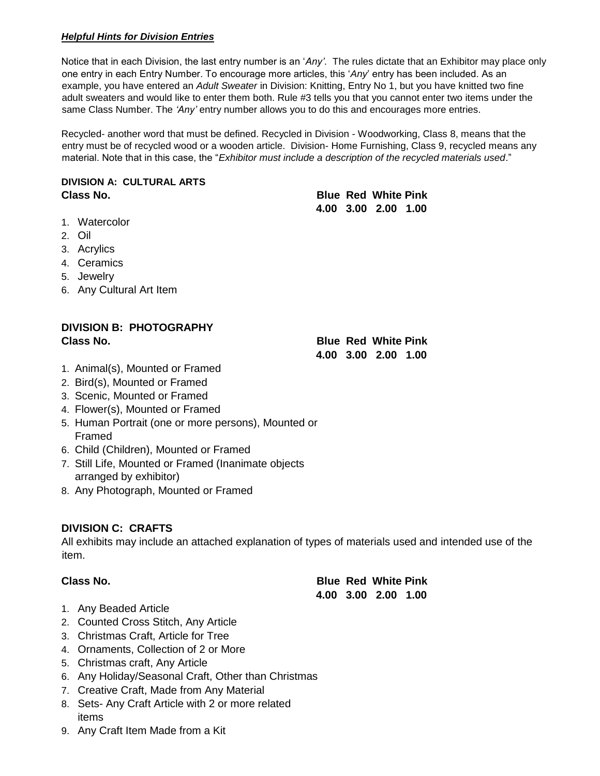## *Helpful Hints for Division Entries*

Notice that in each Division, the last entry number is an '*Any'*. The rules dictate that an Exhibitor may place only one entry in each Entry Number. To encourage more articles, this '*Any*' entry has been included. As an example, you have entered an *Adult Sweater* in Division: Knitting, Entry No 1, but you have knitted two fine adult sweaters and would like to enter them both. Rule #3 tells you that you cannot enter two items under the same Class Number. The *'Any'* entry number allows you to do this and encourages more entries.

Recycled- another word that must be defined. Recycled in Division - Woodworking, Class 8, means that the entry must be of recycled wood or a wooden article. Division- Home Furnishing, Class 9, recycled means any material. Note that in this case, the "*Exhibitor must include a description of the recycled materials used*."

## **DIVISION A: CULTURAL ARTS Class No. Blue Red White Pink**

- 1. Watercolor
- 2. Oil
- 3. Acrylics
- 4. Ceramics
- 5. Jewelry
- 6. Any Cultural Art Item

# **DIVISION B: PHOTOGRAPHY Class No. Blue Red White Pink**

 **4.00 3.00 2.00 1.00** 

- 1. Animal(s), Mounted or Framed
- 2. Bird(s), Mounted or Framed
- 3. Scenic, Mounted or Framed
- 4. Flower(s), Mounted or Framed
- 5. Human Portrait (one or more persons), Mounted or Framed
- 6. Child (Children), Mounted or Framed
- 7. Still Life, Mounted or Framed (Inanimate objects arranged by exhibitor)
- 8. Any Photograph, Mounted or Framed

## **DIVISION C: CRAFTS**

All exhibits may include an attached explanation of types of materials used and intended use of the item.

**Class No. Blue Red White Pink 4.00 3.00 2.00 1.00**

- 1. Any Beaded Article
- 2. Counted Cross Stitch, Any Article
- 3. Christmas Craft, Article for Tree
- 4. Ornaments, Collection of 2 or More
- 5. Christmas craft, Any Article
- 6. Any Holiday/Seasonal Craft, Other than Christmas
- 7. Creative Craft, Made from Any Material
- 8. Sets- Any Craft Article with 2 or more related items
- 9. Any Craft Item Made from a Kit

|  | <b>Blue Red White Pink</b> |  |
|--|----------------------------|--|
|  | 4.00 3.00 2.00 1.00        |  |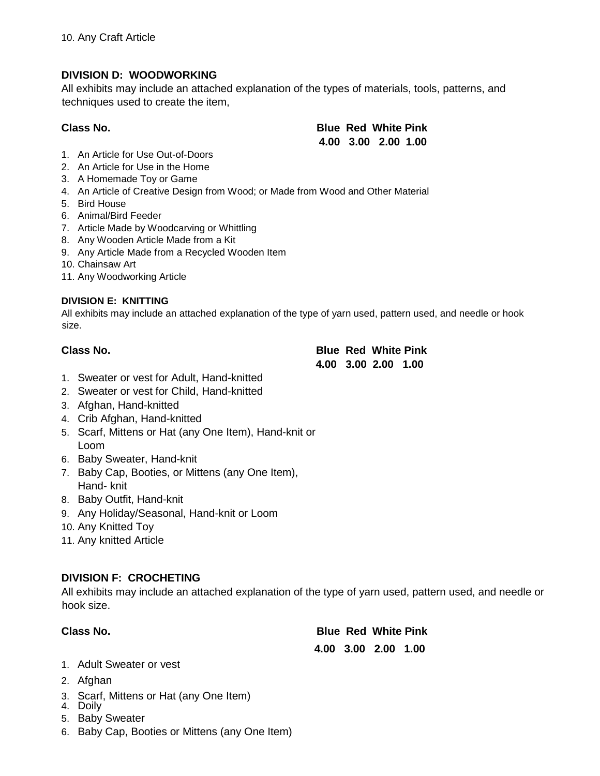# **DIVISION D: WOODWORKING**

All exhibits may include an attached explanation of the types of materials, tools, patterns, and techniques used to create the item,

| <b>Class No.</b> |  |
|------------------|--|
|------------------|--|

**Blue Red White Pink 4.00 3.00 2.00 1.00** 

- 1. An Article for Use Out-of-Doors
- 2. An Article for Use in the Home
- 3. A Homemade Toy or Game
- 4. An Article of Creative Design from Wood; or Made from Wood and Other Material
- 5. Bird House
- 6. Animal/Bird Feeder
- 7. Article Made by Woodcarving or Whittling
- 8. Any Wooden Article Made from a Kit
- 9. Any Article Made from a Recycled Wooden Item
- 10. Chainsaw Art
- 11. Any Woodworking Article

## **DIVISION E: KNITTING**

All exhibits may include an attached explanation of the type of yarn used, pattern used, and needle or hook size.

## **Class No.**

| Class No. | <b>Blue Red White Pink</b> |
|-----------|----------------------------|
|           | 4.00 3.00 2.00 1.00        |

- 1. Sweater or vest for Adult, Hand-knitted
- 2. Sweater or vest for Child, Hand-knitted
- 3. Afghan, Hand-knitted
- 4. Crib Afghan, Hand-knitted
- 5. Scarf, Mittens or Hat (any One Item), Hand-knit or Loom
- 6. Baby Sweater, Hand-knit
- 7. Baby Cap, Booties, or Mittens (any One Item), Hand- knit
- 8. Baby Outfit, Hand-knit
- 9. Any Holiday/Seasonal, Hand-knit or Loom
- 10. Any Knitted Toy
- 11. Any knitted Article

# **DIVISION F: CROCHETING**

All exhibits may include an attached explanation of the type of yarn used, pattern used, and needle or hook size.

| Class No. | <b>Blue Red White Pink</b> |
|-----------|----------------------------|
|           | 4.00 3.00 2.00 1.00        |

- 1. Adult Sweater or vest
- 2. Afghan
- 3. Scarf, Mittens or Hat (any One Item)
- 4. Doily
- 5. Baby Sweater
- 6. Baby Cap, Booties or Mittens (any One Item)